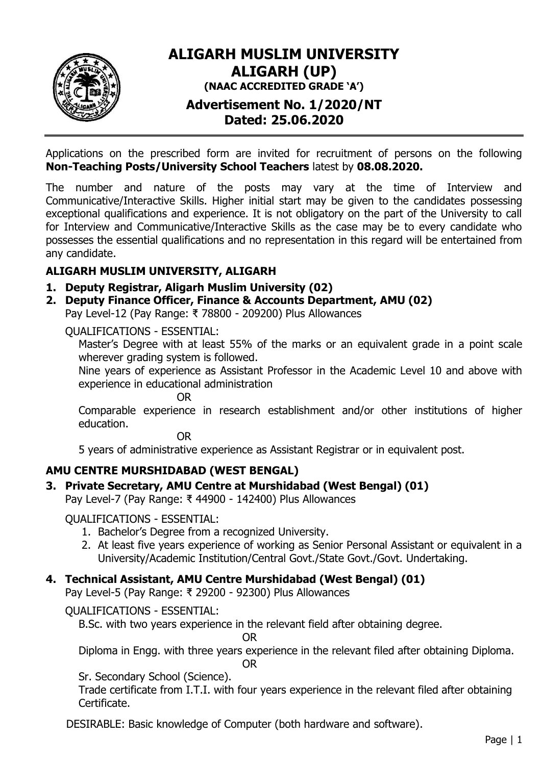

# **ALIGARH MUSLIM UNIVERSITY ALIGARH (UP) (NAAC ACCREDITED GRADE 'A') Advertisement No. 1/2020/NT**

**Dated: 25.06.2020**

Applications on the prescribed form are invited for recruitment of persons on the following **Non-Teaching Posts/University School Teachers** latest by **08.08.2020.**

The number and nature of the posts may vary at the time of Interview and Communicative/Interactive Skills. Higher initial start may be given to the candidates possessing exceptional qualifications and experience. It is not obligatory on the part of the University to call for Interview and Communicative/Interactive Skills as the case may be to every candidate who possesses the essential qualifications and no representation in this regard will be entertained from any candidate.

## **ALIGARH MUSLIM UNIVERSITY, ALIGARH**

- **1. Deputy Registrar, Aligarh Muslim University (02)**
- **2. Deputy Finance Officer, Finance & Accounts Department, AMU (02)** Pay Level-12 (Pay Range: ₹ 78800 - 209200) Plus Allowances

QUALIFICATIONS - ESSENTIAL:

Master's Degree with at least 55% of the marks or an equivalent grade in a point scale wherever grading system is followed.

Nine years of experience as Assistant Professor in the Academic Level 10 and above with experience in educational administration

OR

Comparable experience in research establishment and/or other institutions of higher education.

OR

5 years of administrative experience as Assistant Registrar or in equivalent post.

## **AMU CENTRE MURSHIDABAD (WEST BENGAL)**

## **3. Private Secretary, AMU Centre at Murshidabad (West Bengal) (01)**

Pay Level-7 (Pay Range: ₹ 44900 - 142400) Plus Allowances

QUALIFICATIONS - ESSENTIAL:

- 1. Bachelor's Degree from a recognized University.
- 2. At least five years experience of working as Senior Personal Assistant or equivalent in a University/Academic Institution/Central Govt./State Govt./Govt. Undertaking.

#### **4. Technical Assistant, AMU Centre Murshidabad (West Bengal) (01)**

Pay Level-5 (Pay Range: ₹ 29200 - 92300) Plus Allowances

QUALIFICATIONS - ESSENTIAL:

B.Sc. with two years experience in the relevant field after obtaining degree.

OR

Diploma in Engg. with three years experience in the relevant filed after obtaining Diploma.

OR

Sr. Secondary School (Science).

Trade certificate from I.T.I. with four years experience in the relevant filed after obtaining Certificate.

DESIRABLE: Basic knowledge of Computer (both hardware and software).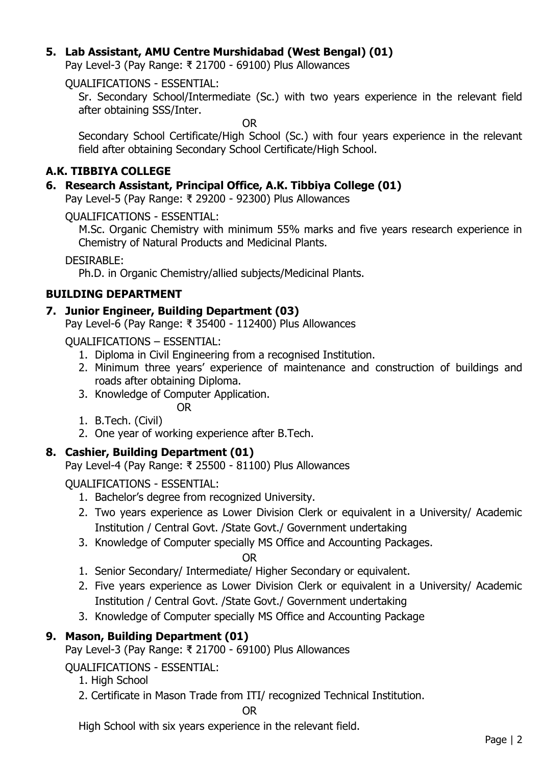## **5. Lab Assistant, AMU Centre Murshidabad (West Bengal) (01)**

Pay Level-3 (Pay Range: ₹ 21700 - 69100) Plus Allowances

QUALIFICATIONS - ESSENTIAL:

Sr. Secondary School/Intermediate (Sc.) with two years experience in the relevant field after obtaining SSS/Inter.

OR

Secondary School Certificate/High School (Sc.) with four years experience in the relevant field after obtaining Secondary School Certificate/High School.

## **A.K. TIBBIYA COLLEGE**

### **6. Research Assistant, Principal Office, A.K. Tibbiya College (01)**

Pay Level-5 (Pay Range: ₹ 29200 - 92300) Plus Allowances

QUALIFICATIONS - ESSENTIAL:

M.Sc. Organic Chemistry with minimum 55% marks and five years research experience in Chemistry of Natural Products and Medicinal Plants.

DESIRABLE:

Ph.D. in Organic Chemistry/allied subjects/Medicinal Plants.

### **BUILDING DEPARTMENT**

### **7. Junior Engineer, Building Department (03)**

Pay Level-6 (Pay Range: ₹ 35400 - 112400) Plus Allowances

QUALIFICATIONS – ESSENTIAL:

- 1. Diploma in Civil Engineering from a recognised Institution.
- 2. Minimum three years' experience of maintenance and construction of buildings and roads after obtaining Diploma.
- 3. Knowledge of Computer Application.

OR

- 1. B.Tech. (Civil)
- 2. One year of working experience after B.Tech.

## **8. Cashier, Building Department (01)**

Pay Level-4 (Pay Range: ₹ 25500 - 81100) Plus Allowances

QUALIFICATIONS - ESSENTIAL:

- 1. Bachelor's degree from recognized University.
- 2. Two years experience as Lower Division Clerk or equivalent in a University/ Academic Institution / Central Govt. /State Govt./ Government undertaking
- 3. Knowledge of Computer specially MS Office and Accounting Packages.

OR

- 1. Senior Secondary/ Intermediate/ Higher Secondary or equivalent.
- 2. Five years experience as Lower Division Clerk or equivalent in a University/ Academic Institution / Central Govt. /State Govt./ Government undertaking
- 3. Knowledge of Computer specially MS Office and Accounting Package

## **9. Mason, Building Department (01)**

Pay Level-3 (Pay Range: ₹ 21700 - 69100) Plus Allowances

QUALIFICATIONS - ESSENTIAL:

- 1. High School
- 2. Certificate in Mason Trade from ITI/ recognized Technical Institution.

OR

High School with six years experience in the relevant field.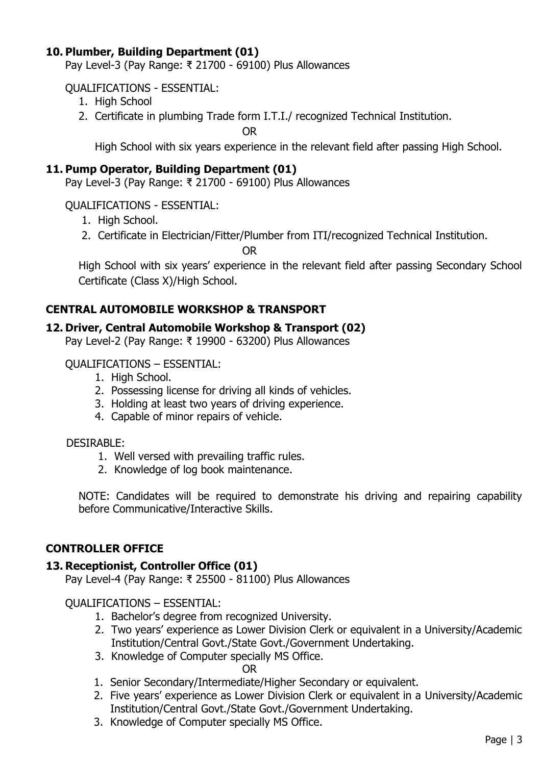### **10. Plumber, Building Department (01)**

Pay Level-3 (Pay Range: ₹ 21700 - 69100) Plus Allowances

### QUALIFICATIONS - ESSENTIAL:

- 1. High School
- 2. Certificate in plumbing Trade form I.T.I./ recognized Technical Institution.

OR

High School with six years experience in the relevant field after passing High School.

### **11. Pump Operator, Building Department (01)**

Pay Level-3 (Pay Range: ₹ 21700 - 69100) Plus Allowances

QUALIFICATIONS - ESSENTIAL:

- 1. High School.
- 2. Certificate in Electrician/Fitter/Plumber from ITI/recognized Technical Institution.

OR

High School with six years' experience in the relevant field after passing Secondary School Certificate (Class X)/High School.

### **CENTRAL AUTOMOBILE WORKSHOP & TRANSPORT**

#### **12. Driver, Central Automobile Workshop & Transport (02)**

Pay Level-2 (Pay Range: ₹ 19900 - 63200) Plus Allowances

#### QUALIFICATIONS – ESSENTIAL:

- 1. High School.
- 2. Possessing license for driving all kinds of vehicles.
- 3. Holding at least two years of driving experience.
- 4. Capable of minor repairs of vehicle.

#### DESIRABLE:

- 1. Well versed with prevailing traffic rules.
- 2. Knowledge of log book maintenance.

NOTE: Candidates will be required to demonstrate his driving and repairing capability before Communicative/Interactive Skills.

#### **CONTROLLER OFFICE**

#### **13. Receptionist, Controller Office (01)**

Pay Level-4 (Pay Range: ₹ 25500 - 81100) Plus Allowances

QUALIFICATIONS – ESSENTIAL:

- 1. Bachelor's degree from recognized University.
- 2. Two years' experience as Lower Division Clerk or equivalent in a University/Academic Institution/Central Govt./State Govt./Government Undertaking.
- 3. Knowledge of Computer specially MS Office.

OR

- 1. Senior Secondary/Intermediate/Higher Secondary or equivalent.
- 2. Five years' experience as Lower Division Clerk or equivalent in a University/Academic Institution/Central Govt./State Govt./Government Undertaking.
- 3. Knowledge of Computer specially MS Office.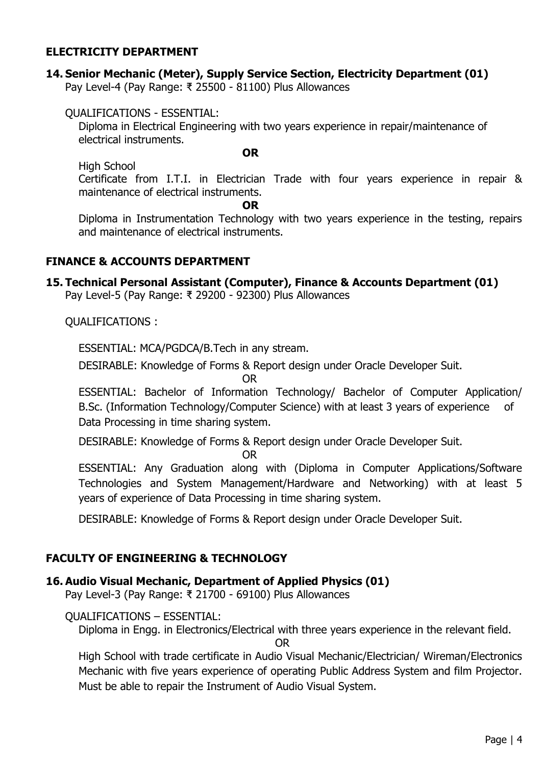#### **ELECTRICITY DEPARTMENT**

## **14. Senior Mechanic (Meter), Supply Service Section, Electricity Department (01)**

Pay Level-4 (Pay Range: ₹ 25500 - 81100) Plus Allowances

QUALIFICATIONS - ESSENTIAL:

Diploma in Electrical Engineering with two years experience in repair/maintenance of electrical instruments.

**OR**

High School

Certificate from I.T.I. in Electrician Trade with four years experience in repair & maintenance of electrical instruments.

**OR**

Diploma in Instrumentation Technology with two years experience in the testing, repairs and maintenance of electrical instruments.

#### **FINANCE & ACCOUNTS DEPARTMENT**

## **15. Technical Personal Assistant (Computer), Finance & Accounts Department (01)**

Pay Level-5 (Pay Range: ₹ 29200 - 92300) Plus Allowances

QUALIFICATIONS :

ESSENTIAL: MCA/PGDCA/B.Tech in any stream.

DESIRABLE: Knowledge of Forms & Report design under Oracle Developer Suit.

OR

ESSENTIAL: Bachelor of Information Technology/ Bachelor of Computer Application/ B.Sc. (Information Technology/Computer Science) with at least 3 years of experience of Data Processing in time sharing system.

DESIRABLE: Knowledge of Forms & Report design under Oracle Developer Suit.

OR

ESSENTIAL: Any Graduation along with (Diploma in Computer Applications/Software Technologies and System Management/Hardware and Networking) with at least 5 years of experience of Data Processing in time sharing system.

DESIRABLE: Knowledge of Forms & Report design under Oracle Developer Suit.

#### **FACULTY OF ENGINEERING & TECHNOLOGY**

#### **16. Audio Visual Mechanic, Department of Applied Physics (01)**

Pay Level-3 (Pay Range: ₹ 21700 - 69100) Plus Allowances

QUALIFICATIONS – ESSENTIAL:

Diploma in Engg. in Electronics/Electrical with three years experience in the relevant field.

OR

High School with trade certificate in Audio Visual Mechanic/Electrician/ Wireman/Electronics Mechanic with five years experience of operating Public Address System and film Projector. Must be able to repair the Instrument of Audio Visual System.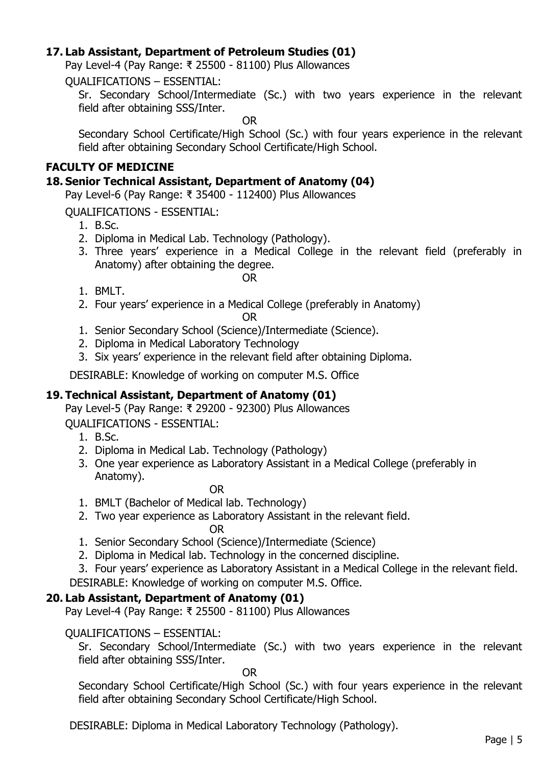### **17. Lab Assistant, Department of Petroleum Studies (01)**

Pay Level-4 (Pay Range: ₹ 25500 - 81100) Plus Allowances

QUALIFICATIONS – ESSENTIAL:

Sr. Secondary School/Intermediate (Sc.) with two years experience in the relevant field after obtaining SSS/Inter.

OR

Secondary School Certificate/High School (Sc.) with four years experience in the relevant field after obtaining Secondary School Certificate/High School.

### **FACULTY OF MEDICINE**

#### **18. Senior Technical Assistant, Department of Anatomy (04)**

Pay Level-6 (Pay Range: ₹ 35400 - 112400) Plus Allowances

QUALIFICATIONS - ESSENTIAL:

- 1. B.Sc.
- 2. Diploma in Medical Lab. Technology (Pathology).
- 3. Three years' experience in a Medical College in the relevant field (preferably in Anatomy) after obtaining the degree.

OR

- 1. BMLT.
- 2. Four years' experience in a Medical College (preferably in Anatomy)

OR

- 1. Senior Secondary School (Science)/Intermediate (Science).
- 2. Diploma in Medical Laboratory Technology
- 3. Six years' experience in the relevant field after obtaining Diploma.

DESIRABLE: Knowledge of working on computer M.S. Office

#### **19. Technical Assistant, Department of Anatomy (01)**

Pay Level-5 (Pay Range: ₹ 29200 - 92300) Plus Allowances QUALIFICATIONS - ESSENTIAL:

- 1. B.Sc.
- 2. Diploma in Medical Lab. Technology (Pathology)
- 3. One year experience as Laboratory Assistant in a Medical College (preferably in Anatomy).

OR

- 1. BMLT (Bachelor of Medical lab. Technology)
- 2. Two year experience as Laboratory Assistant in the relevant field. OR
- 1. Senior Secondary School (Science)/Intermediate (Science)
- 2. Diploma in Medical lab. Technology in the concerned discipline.
- 3. Four years' experience as Laboratory Assistant in a Medical College in the relevant field. DESIRABLE: Knowledge of working on computer M.S. Office.

## **20. Lab Assistant, Department of Anatomy (01)**

Pay Level-4 (Pay Range: ₹ 25500 - 81100) Plus Allowances

#### QUALIFICATIONS – ESSENTIAL:

Sr. Secondary School/Intermediate (Sc.) with two years experience in the relevant field after obtaining SSS/Inter.

OR

Secondary School Certificate/High School (Sc.) with four years experience in the relevant field after obtaining Secondary School Certificate/High School.

DESIRABLE: Diploma in Medical Laboratory Technology (Pathology).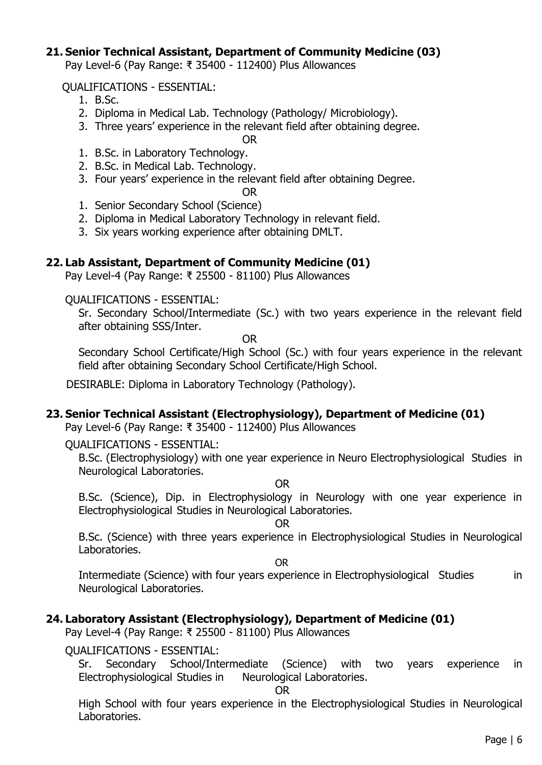#### **21. Senior Technical Assistant, Department of Community Medicine (03)**

Pay Level-6 (Pay Range: ₹ 35400 - 112400) Plus Allowances

#### QUALIFICATIONS - ESSENTIAL:

- 1. B.Sc.
- 2. Diploma in Medical Lab. Technology (Pathology/ Microbiology).
- 3. Three years' experience in the relevant field after obtaining degree.

OR

- 1. B.Sc. in Laboratory Technology.
- 2. B.Sc. in Medical Lab. Technology.
- 3. Four years' experience in the relevant field after obtaining Degree.

## OR

- 1. Senior Secondary School (Science)
- 2. Diploma in Medical Laboratory Technology in relevant field.
- 3. Six years working experience after obtaining DMLT.

#### **22. Lab Assistant, Department of Community Medicine (01)**

Pay Level-4 (Pay Range: ₹ 25500 - 81100) Plus Allowances

QUALIFICATIONS - ESSENTIAL:

Sr. Secondary School/Intermediate (Sc.) with two years experience in the relevant field after obtaining SSS/Inter.

OR

Secondary School Certificate/High School (Sc.) with four years experience in the relevant field after obtaining Secondary School Certificate/High School.

DESIRABLE: Diploma in Laboratory Technology (Pathology).

#### **23. Senior Technical Assistant (Electrophysiology), Department of Medicine (01)**

Pay Level-6 (Pay Range: ₹ 35400 - 112400) Plus Allowances

QUALIFICATIONS - ESSENTIAL:

B.Sc. (Electrophysiology) with one year experience in Neuro Electrophysiological Studies in Neurological Laboratories.

OR

B.Sc. (Science), Dip. in Electrophysiology in Neurology with one year experience in Electrophysiological Studies in Neurological Laboratories.

OR

B.Sc. (Science) with three years experience in Electrophysiological Studies in Neurological Laboratories.

OR

Intermediate (Science) with four years experience in Electrophysiological Studies in Neurological Laboratories.

#### **24. Laboratory Assistant (Electrophysiology), Department of Medicine (01)**

Pay Level-4 (Pay Range: ₹ 25500 - 81100) Plus Allowances

QUALIFICATIONS - ESSENTIAL:

Sr. Secondary School/Intermediate (Science) with two years experience in Electrophysiological Studies in Neurological Laboratories.

#### OR

High School with four years experience in the Electrophysiological Studies in Neurological Laboratories.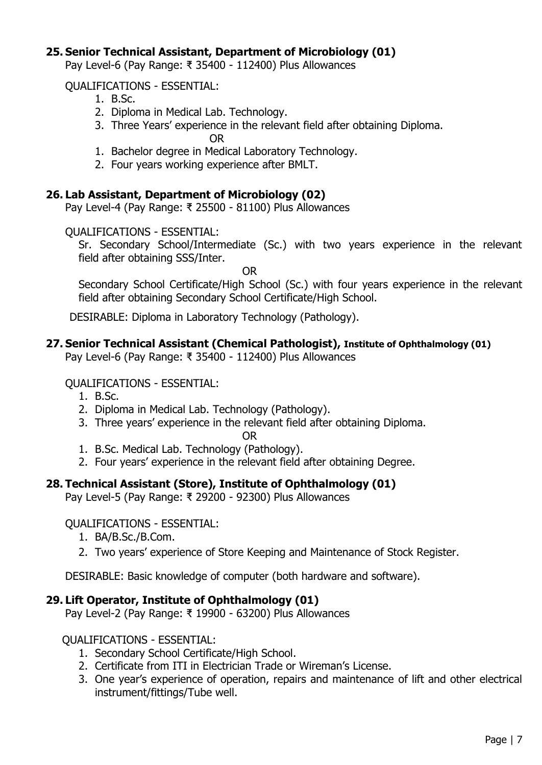### **25. Senior Technical Assistant, Department of Microbiology (01)**

Pay Level-6 (Pay Range: ₹ 35400 - 112400) Plus Allowances

#### QUALIFICATIONS - ESSENTIAL:

- 1. B.Sc.
- 2. Diploma in Medical Lab. Technology.
- 3. Three Years' experience in the relevant field after obtaining Diploma.

OR

- 1. Bachelor degree in Medical Laboratory Technology.
- 2. Four years working experience after BMLT.

### **26. Lab Assistant, Department of Microbiology (02)**

Pay Level-4 (Pay Range: ₹ 25500 - 81100) Plus Allowances

#### QUALIFICATIONS - ESSENTIAL:

Sr. Secondary School/Intermediate (Sc.) with two years experience in the relevant field after obtaining SSS/Inter.

OR

Secondary School Certificate/High School (Sc.) with four years experience in the relevant field after obtaining Secondary School Certificate/High School.

DESIRABLE: Diploma in Laboratory Technology (Pathology).

### **27. Senior Technical Assistant (Chemical Pathologist), Institute of Ophthalmology (01)**

Pay Level-6 (Pay Range: ₹ 35400 - 112400) Plus Allowances

#### QUALIFICATIONS - ESSENTIAL:

- 1. B.Sc.
- 2. Diploma in Medical Lab. Technology (Pathology).
- 3. Three years' experience in the relevant field after obtaining Diploma.

#### OR

- 1. B.Sc. Medical Lab. Technology (Pathology).
- 2. Four years' experience in the relevant field after obtaining Degree.

## **28. Technical Assistant (Store), Institute of Ophthalmology (01)**

Pay Level-5 (Pay Range: ₹ 29200 - 92300) Plus Allowances

#### QUALIFICATIONS - ESSENTIAL:

- 1. BA/B.Sc./B.Com.
- 2. Two years' experience of Store Keeping and Maintenance of Stock Register.

DESIRABLE: Basic knowledge of computer (both hardware and software).

#### **29. Lift Operator, Institute of Ophthalmology (01)**

Pay Level-2 (Pay Range: ₹ 19900 - 63200) Plus Allowances

#### QUALIFICATIONS - ESSENTIAL:

- 1. Secondary School Certificate/High School.
- 2. Certificate from ITI in Electrician Trade or Wireman's License.
- 3. One year's experience of operation, repairs and maintenance of lift and other electrical instrument/fittings/Tube well.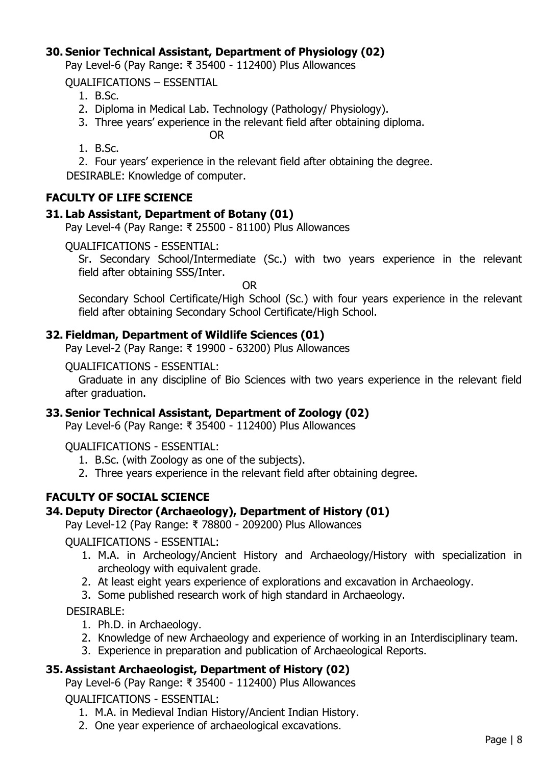## **30. Senior Technical Assistant, Department of Physiology (02)**

Pay Level-6 (Pay Range: ₹ 35400 - 112400) Plus Allowances

QUALIFICATIONS – ESSENTIAL

- 1. B.Sc.
- 2. Diploma in Medical Lab. Technology (Pathology/ Physiology).
- 3. Three years' experience in the relevant field after obtaining diploma.

OR

1. B.Sc.

2. Four years' experience in the relevant field after obtaining the degree.

DESIRABLE: Knowledge of computer.

### **FACULTY OF LIFE SCIENCE**

#### **31. Lab Assistant, Department of Botany (01)**

Pay Level-4 (Pay Range: ₹ 25500 - 81100) Plus Allowances

QUALIFICATIONS - ESSENTIAL:

Sr. Secondary School/Intermediate (Sc.) with two years experience in the relevant field after obtaining SSS/Inter.

OR

Secondary School Certificate/High School (Sc.) with four years experience in the relevant field after obtaining Secondary School Certificate/High School.

#### **32. Fieldman, Department of Wildlife Sciences (01)**

Pay Level-2 (Pay Range: ₹ 19900 - 63200) Plus Allowances

QUALIFICATIONS - ESSENTIAL:

Graduate in any discipline of Bio Sciences with two years experience in the relevant field after graduation.

#### **33. Senior Technical Assistant, Department of Zoology (02)**

Pay Level-6 (Pay Range: ₹ 35400 - 112400) Plus Allowances

QUALIFICATIONS - ESSENTIAL:

- 1. B.Sc. (with Zoology as one of the subjects).
- 2. Three years experience in the relevant field after obtaining degree.

## **FACULTY OF SOCIAL SCIENCE**

#### **34. Deputy Director (Archaeology), Department of History (01)**

Pay Level-12 (Pay Range: ₹ 78800 - 209200) Plus Allowances

QUALIFICATIONS - ESSENTIAL:

- 1. M.A. in Archeology/Ancient History and Archaeology/History with specialization in archeology with equivalent grade.
- 2. At least eight years experience of explorations and excavation in Archaeology.
- 3. Some published research work of high standard in Archaeology.

DESIRABLE:

- 1. Ph.D. in Archaeology.
- 2. Knowledge of new Archaeology and experience of working in an Interdisciplinary team.
- 3. Experience in preparation and publication of Archaeological Reports.

#### **35. Assistant Archaeologist, Department of History (02)**

Pay Level-6 (Pay Range: ₹ 35400 - 112400) Plus Allowances

QUALIFICATIONS - ESSENTIAL:

- 1. M.A. in Medieval Indian History/Ancient Indian History.
- 2. One year experience of archaeological excavations.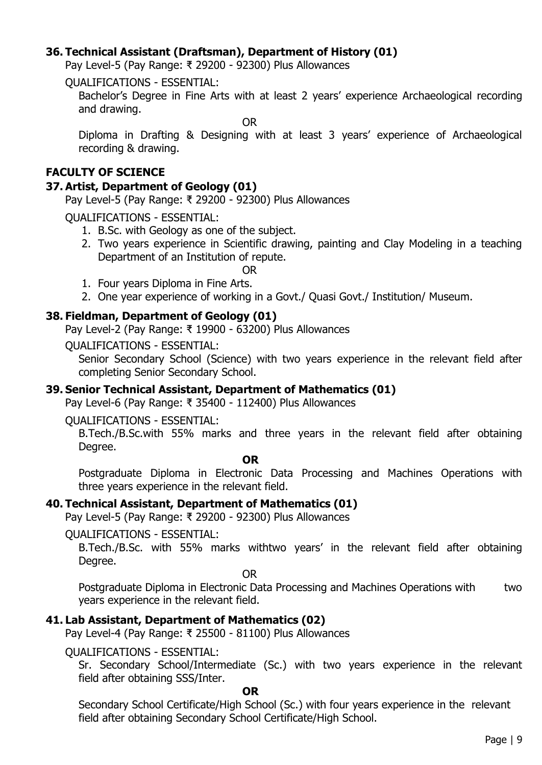### **36. Technical Assistant (Draftsman), Department of History (01)**

Pay Level-5 (Pay Range: ₹ 29200 - 92300) Plus Allowances

QUALIFICATIONS - ESSENTIAL:

Bachelor's Degree in Fine Arts with at least 2 years' experience Archaeological recording and drawing.

OR

Diploma in Drafting & Designing with at least 3 years' experience of Archaeological recording & drawing.

### **FACULTY OF SCIENCE**

### **37. Artist, Department of Geology (01)**

Pay Level-5 (Pay Range: ₹ 29200 - 92300) Plus Allowances

QUALIFICATIONS - ESSENTIAL:

- 1. B.Sc. with Geology as one of the subject.
- 2. Two years experience in Scientific drawing, painting and Clay Modeling in a teaching Department of an Institution of repute.

OR

- 1. Four years Diploma in Fine Arts.
- 2. One year experience of working in a Govt./ Quasi Govt./ Institution/ Museum.

### **38. Fieldman, Department of Geology (01)**

Pay Level-2 (Pay Range: ₹ 19900 - 63200) Plus Allowances

QUALIFICATIONS - ESSENTIAL:

Senior Secondary School (Science) with two years experience in the relevant field after completing Senior Secondary School.

#### **39. Senior Technical Assistant, Department of Mathematics (01)**

Pay Level-6 (Pay Range: ₹ 35400 - 112400) Plus Allowances

QUALIFICATIONS - ESSENTIAL:

B.Tech./B.Sc.with 55% marks and three years in the relevant field after obtaining Degree.

**OR**

Postgraduate Diploma in Electronic Data Processing and Machines Operations with three years experience in the relevant field.

#### **40. Technical Assistant, Department of Mathematics (01)**

Pay Level-5 (Pay Range: ₹ 29200 - 92300) Plus Allowances

QUALIFICATIONS - ESSENTIAL:

B.Tech./B.Sc. with 55% marks withtwo years' in the relevant field after obtaining Degree.

OR

Postgraduate Diploma in Electronic Data Processing and Machines Operations with two years experience in the relevant field.

## **41. Lab Assistant, Department of Mathematics (02)**

Pay Level-4 (Pay Range: ₹ 25500 - 81100) Plus Allowances

QUALIFICATIONS - ESSENTIAL:

Sr. Secondary School/Intermediate (Sc.) with two years experience in the relevant field after obtaining SSS/Inter.

**OR**

Secondary School Certificate/High School (Sc.) with four years experience in the relevant field after obtaining Secondary School Certificate/High School.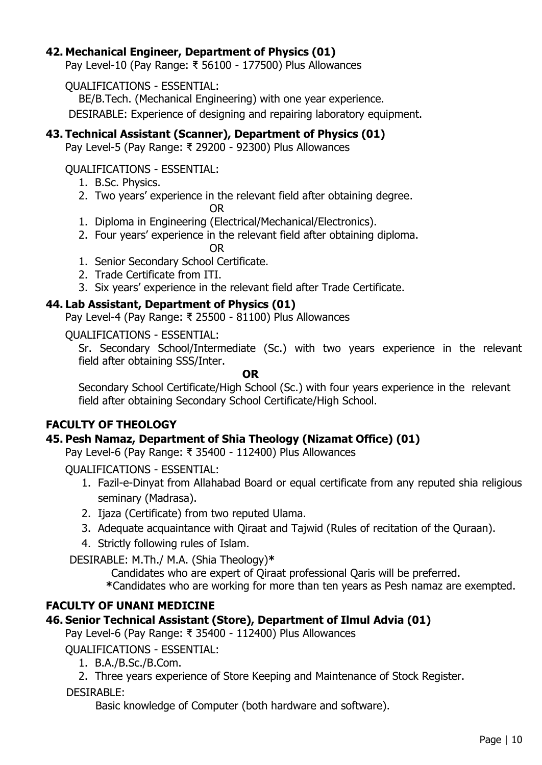### **42. Mechanical Engineer, Department of Physics (01)**

Pay Level-10 (Pay Range: ₹ 56100 - 177500) Plus Allowances

#### QUALIFICATIONS - ESSENTIAL:

BE/B.Tech. (Mechanical Engineering) with one year experience.

DESIRABLE: Experience of designing and repairing laboratory equipment.

### **43. Technical Assistant (Scanner), Department of Physics (01)**

Pay Level-5 (Pay Range: ₹ 29200 - 92300) Plus Allowances

QUALIFICATIONS - ESSENTIAL:

- 1. B.Sc. Physics.
- 2. Two years' experience in the relevant field after obtaining degree.

OR

- 1. Diploma in Engineering (Electrical/Mechanical/Electronics).
- 2. Four years' experience in the relevant field after obtaining diploma.

OR

- 1. Senior Secondary School Certificate.
- 2. Trade Certificate from ITI.
- 3. Six years' experience in the relevant field after Trade Certificate.

#### **44. Lab Assistant, Department of Physics (01)**

Pay Level-4 (Pay Range: ₹ 25500 - 81100) Plus Allowances

QUALIFICATIONS - ESSENTIAL:

Sr. Secondary School/Intermediate (Sc.) with two years experience in the relevant field after obtaining SSS/Inter.

**OR**

Secondary School Certificate/High School (Sc.) with four years experience in the relevant field after obtaining Secondary School Certificate/High School.

#### **FACULTY OF THEOLOGY**

#### **45. Pesh Namaz, Department of Shia Theology (Nizamat Office) (01)**

Pay Level-6 (Pay Range: ₹ 35400 - 112400) Plus Allowances

QUALIFICATIONS - ESSENTIAL:

- 1. Fazil-e-Dinyat from Allahabad Board or equal certificate from any reputed shia religious seminary (Madrasa).
- 2. Ijaza (Certificate) from two reputed Ulama.
- 3. Adequate acquaintance with Qiraat and Tajwid (Rules of recitation of the Quraan).
- 4. Strictly following rules of Islam.

DESIRABLE: M.Th./ M.A. (Shia Theology)**\***

Candidates who are expert of Qiraat professional Qaris will be preferred.

**\***Candidates who are working for more than ten years as Pesh namaz are exempted.

## **FACULTY OF UNANI MEDICINE**

## **46. Senior Technical Assistant (Store), Department of Ilmul Advia (01)**

Pay Level-6 (Pay Range: ₹ 35400 - 112400) Plus Allowances

QUALIFICATIONS - ESSENTIAL:

- 1. B.A./B.Sc./B.Com.
- 2. Three years experience of Store Keeping and Maintenance of Stock Register.

#### DESIRABLE:

Basic knowledge of Computer (both hardware and software).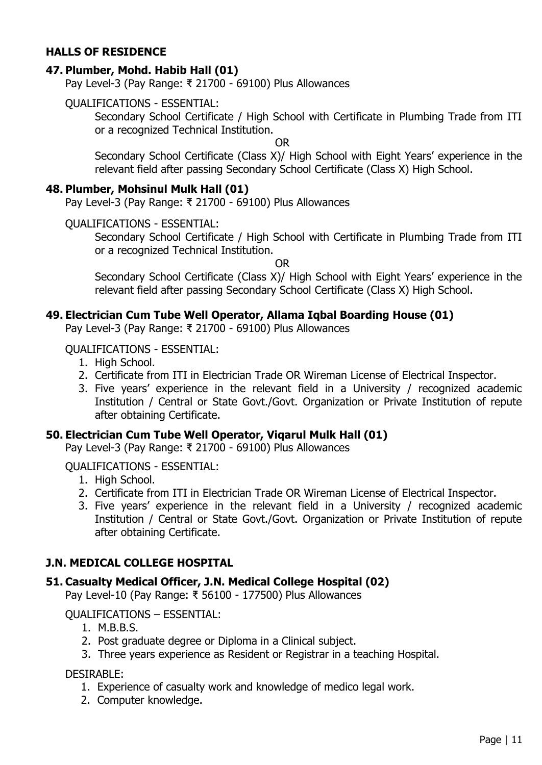#### **HALLS OF RESIDENCE**

#### **47. Plumber, Mohd. Habib Hall (01)**

Pay Level-3 (Pay Range: ₹ 21700 - 69100) Plus Allowances

#### QUALIFICATIONS - ESSENTIAL:

Secondary School Certificate / High School with Certificate in Plumbing Trade from ITI or a recognized Technical Institution.

OR

Secondary School Certificate (Class X)/ High School with Eight Years' experience in the relevant field after passing Secondary School Certificate (Class X) High School.

#### **48. Plumber, Mohsinul Mulk Hall (01)**

Pay Level-3 (Pay Range: ₹ 21700 - 69100) Plus Allowances

#### QUALIFICATIONS - ESSENTIAL:

Secondary School Certificate / High School with Certificate in Plumbing Trade from ITI or a recognized Technical Institution.

OR

Secondary School Certificate (Class X)/ High School with Eight Years' experience in the relevant field after passing Secondary School Certificate (Class X) High School.

#### **49. Electrician Cum Tube Well Operator, Allama Iqbal Boarding House (01)**

Pay Level-3 (Pay Range: ₹ 21700 - 69100) Plus Allowances

#### QUALIFICATIONS - ESSENTIAL:

- 1. High School.
- 2. Certificate from ITI in Electrician Trade OR Wireman License of Electrical Inspector.
- 3. Five years' experience in the relevant field in a University / recognized academic Institution / Central or State Govt./Govt. Organization or Private Institution of repute after obtaining Certificate.

#### **50. Electrician Cum Tube Well Operator, Viqarul Mulk Hall (01)**

Pay Level-3 (Pay Range: ₹ 21700 - 69100) Plus Allowances

#### QUALIFICATIONS - ESSENTIAL:

- 1. High School.
- 2. Certificate from ITI in Electrician Trade OR Wireman License of Electrical Inspector.
- 3. Five years' experience in the relevant field in a University / recognized academic Institution / Central or State Govt./Govt. Organization or Private Institution of repute after obtaining Certificate.

#### **J.N. MEDICAL COLLEGE HOSPITAL**

#### **51. Casualty Medical Officer, J.N. Medical College Hospital (02)**

Pay Level-10 (Pay Range: ₹ 56100 - 177500) Plus Allowances

#### QUALIFICATIONS – ESSENTIAL:

- 1. M.B.B.S.
- 2. Post graduate degree or Diploma in a Clinical subject.
- 3. Three years experience as Resident or Registrar in a teaching Hospital.

DESIRABLE:

- 1. Experience of casualty work and knowledge of medico legal work.
- 2. Computer knowledge.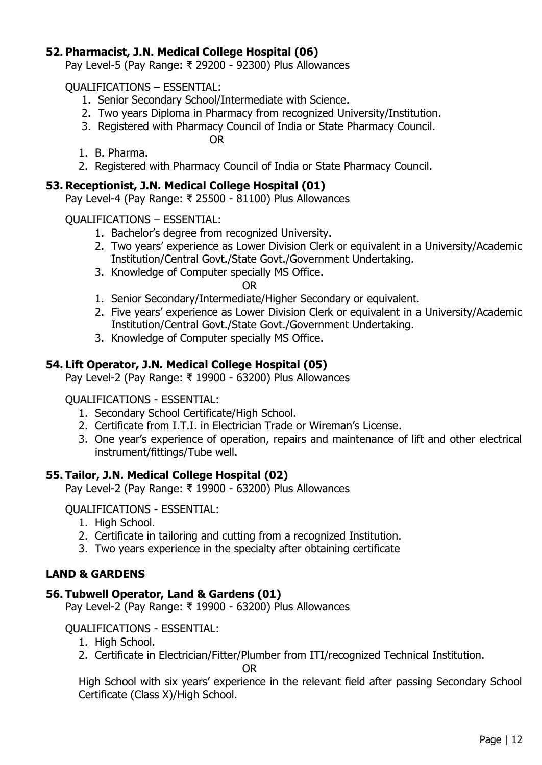### **52. Pharmacist, J.N. Medical College Hospital (06)**

Pay Level-5 (Pay Range: ₹ 29200 - 92300) Plus Allowances

QUALIFICATIONS – ESSENTIAL:

- 1. Senior Secondary School/Intermediate with Science.
- 2. Two years Diploma in Pharmacy from recognized University/Institution.
- 3. Registered with Pharmacy Council of India or State Pharmacy Council.

OR

- 1. B. Pharma.
- 2. Registered with Pharmacy Council of India or State Pharmacy Council.

#### **53. Receptionist, J.N. Medical College Hospital (01)**

Pay Level-4 (Pay Range: ₹ 25500 - 81100) Plus Allowances

#### QUALIFICATIONS – ESSENTIAL:

- 1. Bachelor's degree from recognized University.
- 2. Two years' experience as Lower Division Clerk or equivalent in a University/Academic Institution/Central Govt./State Govt./Government Undertaking.
- 3. Knowledge of Computer specially MS Office.

OR

- 1. Senior Secondary/Intermediate/Higher Secondary or equivalent.
- 2. Five years' experience as Lower Division Clerk or equivalent in a University/Academic Institution/Central Govt./State Govt./Government Undertaking.
- 3. Knowledge of Computer specially MS Office.

### **54. Lift Operator, J.N. Medical College Hospital (05)**

Pay Level-2 (Pay Range: ₹ 19900 - 63200) Plus Allowances

#### QUALIFICATIONS - ESSENTIAL:

- 1. Secondary School Certificate/High School.
- 2. Certificate from I.T.I. in Electrician Trade or Wireman's License.
- 3. One year's experience of operation, repairs and maintenance of lift and other electrical instrument/fittings/Tube well.

#### **55. Tailor, J.N. Medical College Hospital (02)**

Pay Level-2 (Pay Range: ₹ 19900 - 63200) Plus Allowances

QUALIFICATIONS - ESSENTIAL:

- 1. High School.
- 2. Certificate in tailoring and cutting from a recognized Institution.
- 3. Two years experience in the specialty after obtaining certificate

#### **LAND & GARDENS**

#### **56. Tubwell Operator, Land & Gardens (01)**

Pay Level-2 (Pay Range: ₹ 19900 - 63200) Plus Allowances

QUALIFICATIONS - ESSENTIAL:

- 1. High School.
- 2. Certificate in Electrician/Fitter/Plumber from ITI/recognized Technical Institution.

OR

High School with six years' experience in the relevant field after passing Secondary School Certificate (Class X)/High School.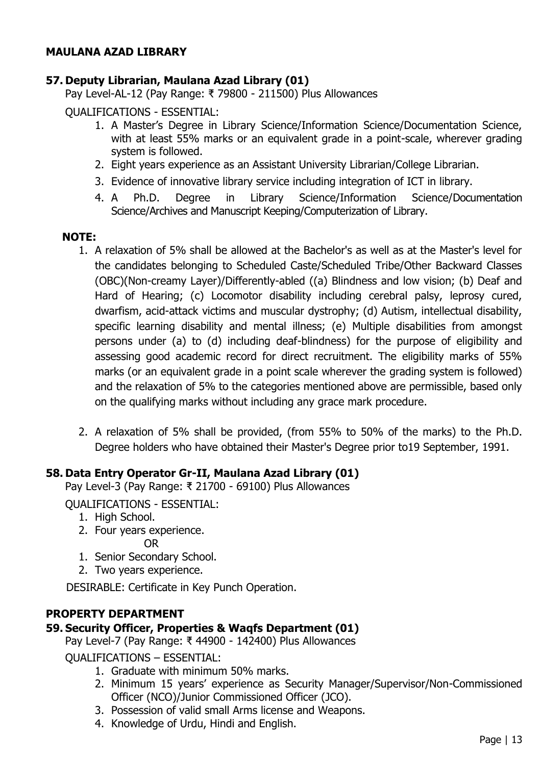### **MAULANA AZAD LIBRARY**

### **57. Deputy Librarian, Maulana Azad Library (01)**

Pay Level-AL-12 (Pay Range: ₹ 79800 - 211500) Plus Allowances

QUALIFICATIONS - ESSENTIAL:

- 1. A Master's Degree in Library Science/Information Science/Documentation Science, with at least 55% marks or an equivalent grade in a point-scale, wherever grading system is followed.
- 2. Eight years experience as an Assistant University Librarian/College Librarian.
- 3. Evidence of innovative library service including integration of ICT in library.
- 4. A Ph.D. Degree in Library Science/Information Science/Documentation Science/Archives and Manuscript Keeping/Computerization of Library.

#### **NOTE:**

- 1. A relaxation of 5% shall be allowed at the Bachelor's as well as at the Master's level for the candidates belonging to Scheduled Caste/Scheduled Tribe/Other Backward Classes (OBC)(Non-creamy Layer)/Differently-abled ((a) Blindness and low vision; (b) Deaf and Hard of Hearing; (c) Locomotor disability including cerebral palsy, leprosy cured, dwarfism, acid-attack victims and muscular dystrophy; (d) Autism, intellectual disability, specific learning disability and mental illness; (e) Multiple disabilities from amongst persons under (a) to (d) including deaf-blindness) for the purpose of eligibility and assessing good academic record for direct recruitment. The eligibility marks of 55% marks (or an equivalent grade in a point scale wherever the grading system is followed) and the relaxation of 5% to the categories mentioned above are permissible, based only on the qualifying marks without including any grace mark procedure.
- 2. A relaxation of 5% shall be provided, (from 55% to 50% of the marks) to the Ph.D. Degree holders who have obtained their Master's Degree prior to19 September, 1991.

#### **58. Data Entry Operator Gr-II, Maulana Azad Library (01)**

Pay Level-3 (Pay Range: ₹ 21700 - 69100) Plus Allowances

QUALIFICATIONS - ESSENTIAL:

- 1. High School.
- 2. Four years experience.

OR

- 1. Senior Secondary School.
- 2. Two years experience.

DESIRABLE: Certificate in Key Punch Operation.

#### **PROPERTY DEPARTMENT**

#### **59. Security Officer, Properties & Waqfs Department (01)**

Pay Level-7 (Pay Range: ₹ 44900 - 142400) Plus Allowances

QUALIFICATIONS – ESSENTIAL:

- 1. Graduate with minimum 50% marks.
- 2. Minimum 15 years' experience as Security Manager/Supervisor/Non-Commissioned Officer (NCO)/Junior Commissioned Officer (JCO).
- 3. Possession of valid small Arms license and Weapons.
- 4. Knowledge of Urdu, Hindi and English.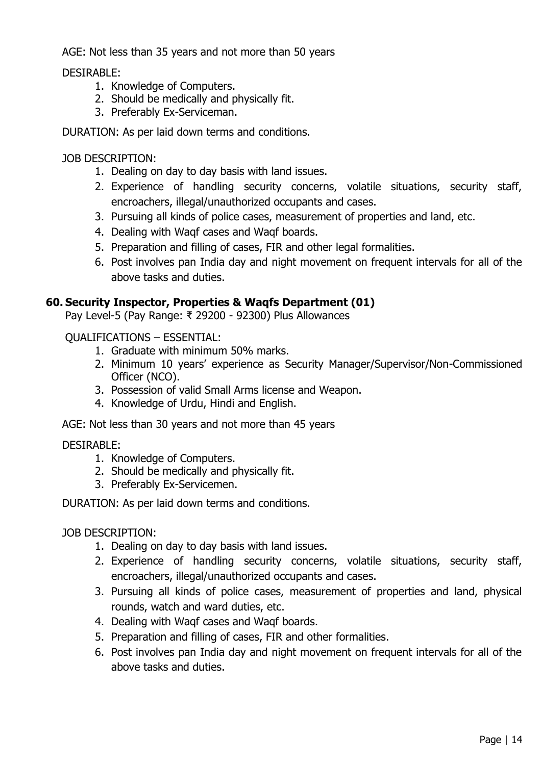AGE: Not less than 35 years and not more than 50 years

DESIRABLE:

- 1. Knowledge of Computers.
- 2. Should be medically and physically fit.
- 3. Preferably Ex-Serviceman.

DURATION: As per laid down terms and conditions.

JOB DESCRIPTION:

- 1. Dealing on day to day basis with land issues.
- 2. Experience of handling security concerns, volatile situations, security staff, encroachers, illegal/unauthorized occupants and cases.
- 3. Pursuing all kinds of police cases, measurement of properties and land, etc.
- 4. Dealing with Waqf cases and Waqf boards.
- 5. Preparation and filling of cases, FIR and other legal formalities.
- 6. Post involves pan India day and night movement on frequent intervals for all of the above tasks and duties.

### **60. Security Inspector, Properties & Waqfs Department (01)**

Pay Level-5 (Pay Range: ₹ 29200 - 92300) Plus Allowances

QUALIFICATIONS – ESSENTIAL:

- 1. Graduate with minimum 50% marks.
- 2. Minimum 10 years' experience as Security Manager/Supervisor/Non-Commissioned Officer (NCO).
- 3. Possession of valid Small Arms license and Weapon.
- 4. Knowledge of Urdu, Hindi and English.

AGE: Not less than 30 years and not more than 45 years

#### DESIRABLE:

- 1. Knowledge of Computers.
- 2. Should be medically and physically fit.
- 3. Preferably Ex-Servicemen.

DURATION: As per laid down terms and conditions.

#### JOB DESCRIPTION:

- 1. Dealing on day to day basis with land issues.
- 2. Experience of handling security concerns, volatile situations, security staff, encroachers, illegal/unauthorized occupants and cases.
- 3. Pursuing all kinds of police cases, measurement of properties and land, physical rounds, watch and ward duties, etc.
- 4. Dealing with Waqf cases and Waqf boards.
- 5. Preparation and filling of cases, FIR and other formalities.
- 6. Post involves pan India day and night movement on frequent intervals for all of the above tasks and duties.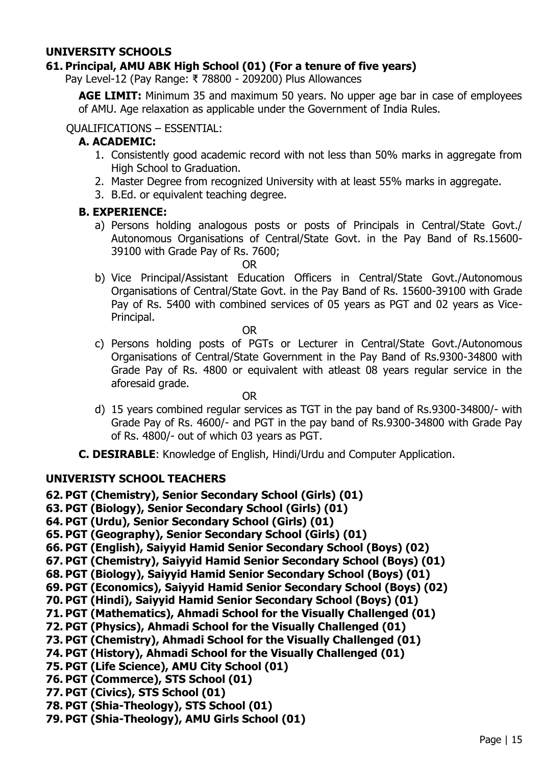### **UNIVERSITY SCHOOLS**

### **61. Principal, AMU ABK High School (01) (For a tenure of five years)**

Pay Level-12 (Pay Range: ₹ 78800 - 209200) Plus Allowances

**AGE LIMIT:** Minimum 35 and maximum 50 years. No upper age bar in case of employees of AMU. Age relaxation as applicable under the Government of India Rules.

#### QUALIFICATIONS – ESSENTIAL:

#### **A. ACADEMIC:**

- 1. Consistently good academic record with not less than 50% marks in aggregate from High School to Graduation.
- 2. Master Degree from recognized University with at least 55% marks in aggregate.
- 3. B.Ed. or equivalent teaching degree.

#### **B. EXPERIENCE:**

a) Persons holding analogous posts or posts of Principals in Central/State Govt./ Autonomous Organisations of Central/State Govt. in the Pay Band of Rs.15600- 39100 with Grade Pay of Rs. 7600;

OR

b) Vice Principal/Assistant Education Officers in Central/State Govt./Autonomous Organisations of Central/State Govt. in the Pay Band of Rs. 15600-39100 with Grade Pay of Rs. 5400 with combined services of 05 years as PGT and 02 years as Vice-Principal.

OR

c) Persons holding posts of PGTs or Lecturer in Central/State Govt./Autonomous Organisations of Central/State Government in the Pay Band of Rs.9300-34800 with Grade Pay of Rs. 4800 or equivalent with atleast 08 years regular service in the aforesaid grade.

OR

- d) 15 years combined regular services as TGT in the pay band of Rs.9300-34800/- with Grade Pay of Rs. 4600/- and PGT in the pay band of Rs.9300-34800 with Grade Pay of Rs. 4800/- out of which 03 years as PGT.
- **C. DESIRABLE**: Knowledge of English, Hindi/Urdu and Computer Application.

#### **UNIVERISTY SCHOOL TEACHERS**

**62. PGT (Chemistry), Senior Secondary School (Girls) (01)**

- **63. PGT (Biology), Senior Secondary School (Girls) (01)**
- **64. PGT (Urdu), Senior Secondary School (Girls) (01)**
- **65. PGT (Geography), Senior Secondary School (Girls) (01)**
- **66. PGT (English), Saiyyid Hamid Senior Secondary School (Boys) (02)**
- **67. PGT (Chemistry), Saiyyid Hamid Senior Secondary School (Boys) (01)**
- **68. PGT (Biology), Saiyyid Hamid Senior Secondary School (Boys) (01)**
- **69. PGT (Economics), Saiyyid Hamid Senior Secondary School (Boys) (02)**
- **70. PGT (Hindi), Saiyyid Hamid Senior Secondary School (Boys) (01)**
- **71. PGT (Mathematics), Ahmadi School for the Visually Challenged (01)**
- **72. PGT (Physics), Ahmadi School for the Visually Challenged (01)**
- **73. PGT (Chemistry), Ahmadi School for the Visually Challenged (01)**
- **74. PGT (History), Ahmadi School for the Visually Challenged (01)**
- **75. PGT (Life Science), AMU City School (01)**
- **76. PGT (Commerce), STS School (01)**
- **77. PGT (Civics), STS School (01)**
- **78. PGT (Shia-Theology), STS School (01)**
- **79. PGT (Shia-Theology), AMU Girls School (01)**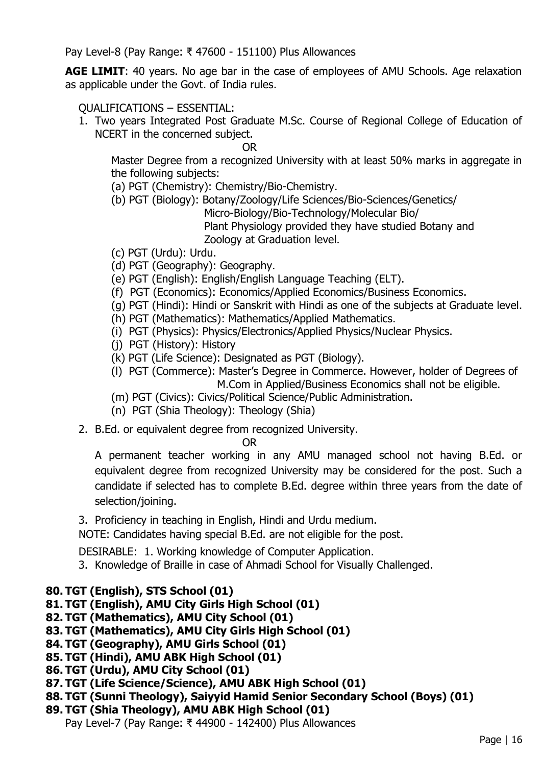Pay Level-8 (Pay Range: ₹ 47600 - 151100) Plus Allowances

**AGE LIMIT:** 40 years. No age bar in the case of employees of AMU Schools. Age relaxation as applicable under the Govt. of India rules.

#### QUALIFICATIONS – ESSENTIAL:

1. Two years Integrated Post Graduate M.Sc. Course of Regional College of Education of NCERT in the concerned subject.

OR

Master Degree from a recognized University with at least 50% marks in aggregate in the following subjects:

- (a) PGT (Chemistry): Chemistry/Bio-Chemistry.
- (b) PGT (Biology): Botany/Zoology/Life Sciences/Bio-Sciences/Genetics/

Micro-Biology/Bio-Technology/Molecular Bio/

Plant Physiology provided they have studied Botany and Zoology at Graduation level.

- (c) PGT (Urdu): Urdu.
- (d) PGT (Geography): Geography.
- (e) PGT (English): English/English Language Teaching (ELT).
- (f) PGT (Economics): Economics/Applied Economics/Business Economics.
- (g) PGT (Hindi): Hindi or Sanskrit with Hindi as one of the subjects at Graduate level.
- (h) PGT (Mathematics): Mathematics/Applied Mathematics.
- (i) PGT (Physics): Physics/Electronics/Applied Physics/Nuclear Physics.
- (j) PGT (History): History
- (k) PGT (Life Science): Designated as PGT (Biology).
- (l) PGT (Commerce): Master's Degree in Commerce. However, holder of Degrees of M.Com in Applied/Business Economics shall not be eligible.
- (m) PGT (Civics): Civics/Political Science/Public Administration.
- (n) PGT (Shia Theology): Theology (Shia)
- 2. B.Ed. or equivalent degree from recognized University.

OR

A permanent teacher working in any AMU managed school not having B.Ed. or equivalent degree from recognized University may be considered for the post. Such a candidate if selected has to complete B.Ed. degree within three years from the date of selection/joining.

3. Proficiency in teaching in English, Hindi and Urdu medium.

NOTE: Candidates having special B.Ed. are not eligible for the post.

DESIRABLE: 1. Working knowledge of Computer Application.

3. Knowledge of Braille in case of Ahmadi School for Visually Challenged.

## **80. TGT (English), STS School (01)**

- **81. TGT (English), AMU City Girls High School (01)**
- **82. TGT (Mathematics), AMU City School (01)**
- **83. TGT (Mathematics), AMU City Girls High School (01)**
- **84. TGT (Geography), AMU Girls School (01)**
- **85. TGT (Hindi), AMU ABK High School (01)**
- **86. TGT (Urdu), AMU City School (01)**
- **87. TGT (Life Science/Science), AMU ABK High School (01)**
- **88. TGT (Sunni Theology), Saiyyid Hamid Senior Secondary School (Boys) (01)**
- **89. TGT (Shia Theology), AMU ABK High School (01)** Pay Level-7 (Pay Range: ₹ 44900 - 142400) Plus Allowances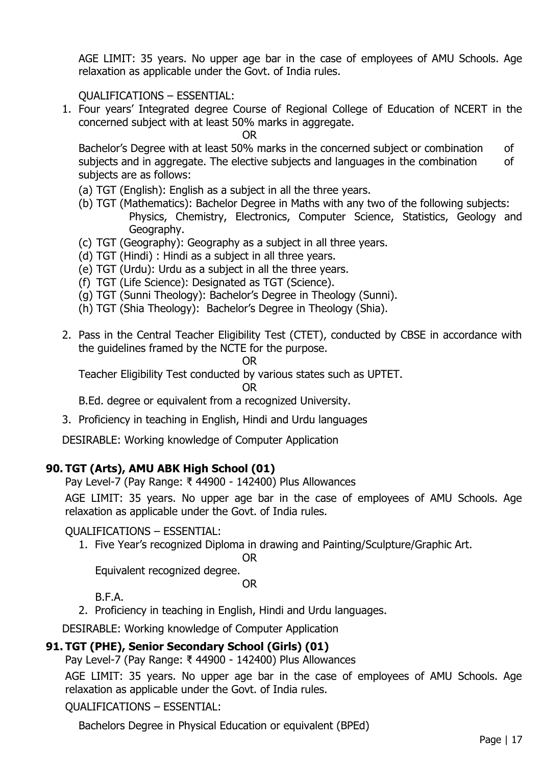AGE LIMIT: 35 years. No upper age bar in the case of employees of AMU Schools. Age relaxation as applicable under the Govt. of India rules.

QUALIFICATIONS – ESSENTIAL:

1. Four years' Integrated degree Course of Regional College of Education of NCERT in the concerned subject with at least 50% marks in aggregate.

OR

Bachelor's Degree with at least 50% marks in the concerned subject or combination of subjects and in aggregate. The elective subjects and languages in the combination of subjects are as follows:

- (a) TGT (English): English as a subject in all the three years.
- (b) TGT (Mathematics): Bachelor Degree in Maths with any two of the following subjects: Physics, Chemistry, Electronics, Computer Science, Statistics, Geology and Geography.
- (c) TGT (Geography): Geography as a subject in all three years.
- (d) TGT (Hindi) : Hindi as a subject in all three years.
- (e) TGT (Urdu): Urdu as a subject in all the three years.
- (f) TGT (Life Science): Designated as TGT (Science).
- (g) TGT (Sunni Theology): Bachelor's Degree in Theology (Sunni).
- (h) TGT (Shia Theology): Bachelor's Degree in Theology (Shia).
- 2. Pass in the Central Teacher Eligibility Test (CTET), conducted by CBSE in accordance with the guidelines framed by the NCTE for the purpose.

OR

Teacher Eligibility Test conducted by various states such as UPTET.

#### OR

B.Ed. degree or equivalent from a recognized University.

3. Proficiency in teaching in English, Hindi and Urdu languages

DESIRABLE: Working knowledge of Computer Application

## **90. TGT (Arts), AMU ABK High School (01)**

Pay Level-7 (Pay Range: ₹ 44900 - 142400) Plus Allowances

AGE LIMIT: 35 years. No upper age bar in the case of employees of AMU Schools. Age relaxation as applicable under the Govt. of India rules.

## QUALIFICATIONS – ESSENTIAL:

1. Five Year's recognized Diploma in drawing and Painting/Sculpture/Graphic Art.

OR

 Equivalent recognized degree. OR

B.F.A.

2. Proficiency in teaching in English, Hindi and Urdu languages.

DESIRABLE: Working knowledge of Computer Application

## **91. TGT (PHE), Senior Secondary School (Girls) (01)**

Pay Level-7 (Pay Range: ₹ 44900 - 142400) Plus Allowances

AGE LIMIT: 35 years. No upper age bar in the case of employees of AMU Schools. Age relaxation as applicable under the Govt. of India rules.

QUALIFICATIONS – ESSENTIAL:

Bachelors Degree in Physical Education or equivalent (BPEd)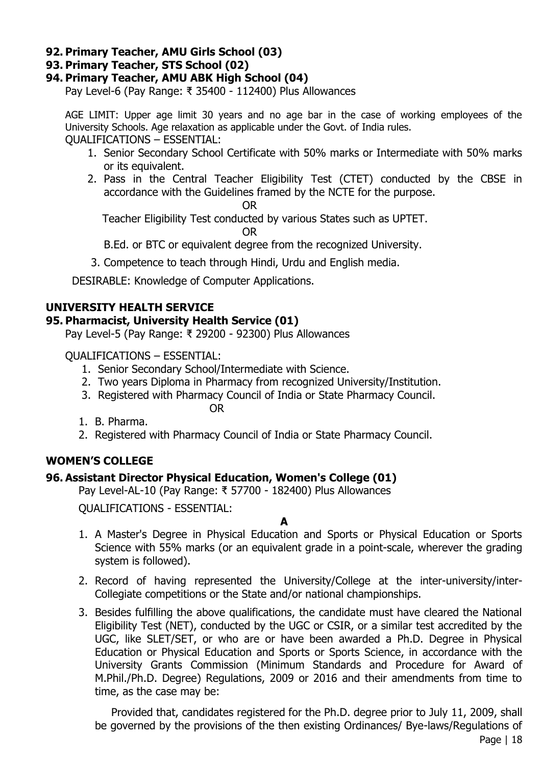### **92. Primary Teacher, AMU Girls School (03)**

### **93. Primary Teacher, STS School (02)**

#### **94. Primary Teacher, AMU ABK High School (04)**

Pay Level-6 (Pay Range: ₹ 35400 - 112400) Plus Allowances

AGE LIMIT: Upper age limit 30 years and no age bar in the case of working employees of the University Schools. Age relaxation as applicable under the Govt. of India rules. QUALIFICATIONS – ESSENTIAL:

- 1. Senior Secondary School Certificate with 50% marks or Intermediate with 50% marks or its equivalent.
- 2. Pass in the Central Teacher Eligibility Test (CTET) conducted by the CBSE in accordance with the Guidelines framed by the NCTE for the purpose.

OR

Teacher Eligibility Test conducted by various States such as UPTET.

OR

B.Ed. or BTC or equivalent degree from the recognized University.

3. Competence to teach through Hindi, Urdu and English media.

DESIRABLE: Knowledge of Computer Applications.

### **UNIVERSITY HEALTH SERVICE**

#### **95. Pharmacist, University Health Service (01)**

Pay Level-5 (Pay Range: ₹ 29200 - 92300) Plus Allowances

QUALIFICATIONS – ESSENTIAL:

- 1. Senior Secondary School/Intermediate with Science.
- 2. Two years Diploma in Pharmacy from recognized University/Institution.
- 3. Registered with Pharmacy Council of India or State Pharmacy Council. OR
- 1. B. Pharma.
- 2. Registered with Pharmacy Council of India or State Pharmacy Council.

## **WOMEN'S COLLEGE**

## **96. Assistant Director Physical Education, Women's College (01)**

Pay Level-AL-10 (Pay Range: ₹ 57700 - 182400) Plus Allowances

QUALIFICATIONS - ESSENTIAL:

**A**

- 1. A Master's Degree in Physical Education and Sports or Physical Education or Sports Science with 55% marks (or an equivalent grade in a point-scale, wherever the grading system is followed).
- 2. Record of having represented the University/College at the inter-university/inter-Collegiate competitions or the State and/or national championships.
- 3. Besides fulfilling the above qualifications, the candidate must have cleared the National Eligibility Test (NET), conducted by the UGC or CSIR, or a similar test accredited by the UGC, like SLET/SET, or who are or have been awarded a Ph.D. Degree in Physical Education or Physical Education and Sports or Sports Science, in accordance with the University Grants Commission (Minimum Standards and Procedure for Award of M.Phil./Ph.D. Degree) Regulations, 2009 or 2016 and their amendments from time to time, as the case may be:

Provided that, candidates registered for the Ph.D. degree prior to July 11, 2009, shall be governed by the provisions of the then existing Ordinances/ Bye-laws/Regulations of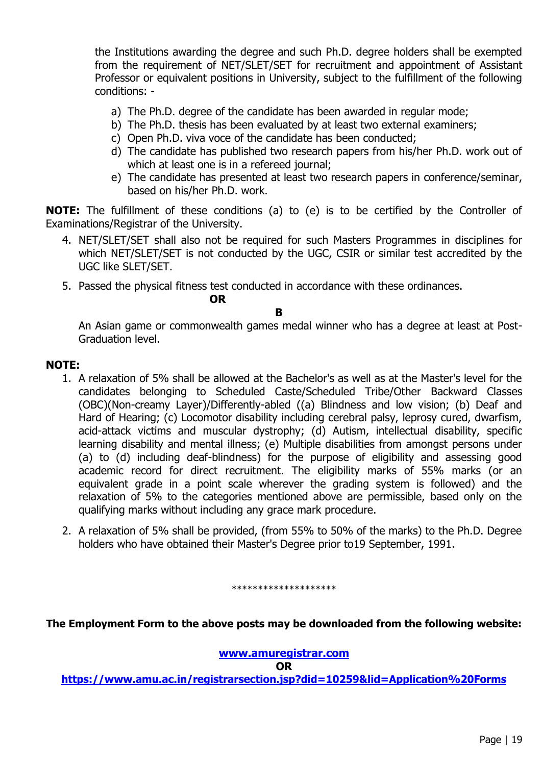the Institutions awarding the degree and such Ph.D. degree holders shall be exempted from the requirement of NET/SLET/SET for recruitment and appointment of Assistant Professor or equivalent positions in University, subject to the fulfillment of the following conditions: -

- a) The Ph.D. degree of the candidate has been awarded in regular mode;
- b) The Ph.D. thesis has been evaluated by at least two external examiners;
- c) Open Ph.D. viva voce of the candidate has been conducted;
- d) The candidate has published two research papers from his/her Ph.D. work out of which at least one is in a refereed journal;
- e) The candidate has presented at least two research papers in conference/seminar, based on his/her Ph.D. work.

**NOTE:** The fulfillment of these conditions (a) to (e) is to be certified by the Controller of Examinations/Registrar of the University.

- 4. NET/SLET/SET shall also not be required for such Masters Programmes in disciplines for which NET/SLET/SET is not conducted by the UGC, CSIR or similar test accredited by the UGC like SLET/SET.
- 5. Passed the physical fitness test conducted in accordance with these ordinances.

**OR**

#### **B**

An Asian game or commonwealth games medal winner who has a degree at least at Post-Graduation level.

#### **NOTE:**

- 1. A relaxation of 5% shall be allowed at the Bachelor's as well as at the Master's level for the candidates belonging to Scheduled Caste/Scheduled Tribe/Other Backward Classes (OBC)(Non-creamy Layer)/Differently-abled ((a) Blindness and low vision; (b) Deaf and Hard of Hearing; (c) Locomotor disability including cerebral palsy, leprosy cured, dwarfism, acid-attack victims and muscular dystrophy; (d) Autism, intellectual disability, specific learning disability and mental illness; (e) Multiple disabilities from amongst persons under (a) to (d) including deaf-blindness) for the purpose of eligibility and assessing good academic record for direct recruitment. The eligibility marks of 55% marks (or an equivalent grade in a point scale wherever the grading system is followed) and the relaxation of 5% to the categories mentioned above are permissible, based only on the qualifying marks without including any grace mark procedure.
- 2. A relaxation of 5% shall be provided, (from 55% to 50% of the marks) to the Ph.D. Degree holders who have obtained their Master's Degree prior to19 September, 1991.

#### \*\*\*\*\*\*\*\*\*\*\*\*\*\*\*\*\*\*\*\*

**The Employment Form to the above posts may be downloaded from the following website:**

#### **[www.amuregistrar.com](http://www.amuregistrar.com/)**

**OR**

**<https://www.amu.ac.in/registrarsection.jsp?did=10259&lid=Application%20Forms>**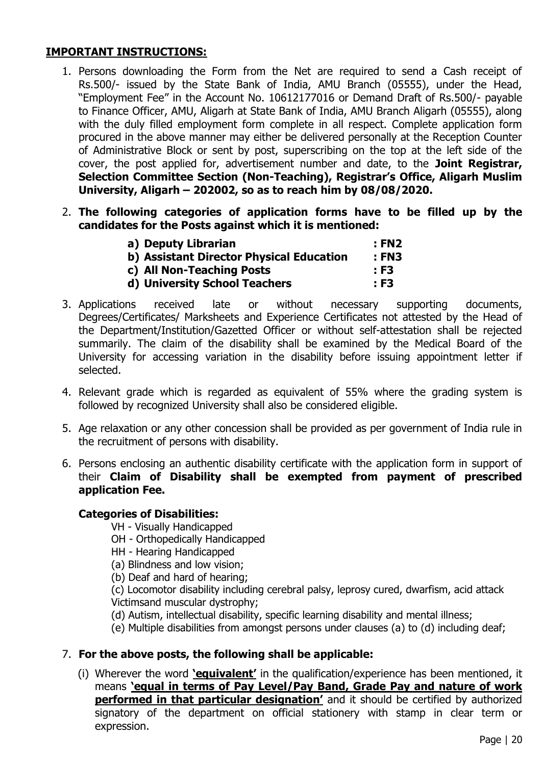## **IMPORTANT INSTRUCTIONS:**

- 1. Persons downloading the Form from the Net are required to send a Cash receipt of Rs.500/- issued by the State Bank of India, AMU Branch (05555), under the Head, "Employment Fee" in the Account No. 10612177016 or Demand Draft of Rs.500/- payable to Finance Officer, AMU, Aligarh at State Bank of India, AMU Branch Aligarh (05555), along with the duly filled employment form complete in all respect. Complete application form procured in the above manner may either be delivered personally at the Reception Counter of Administrative Block or sent by post, superscribing on the top at the left side of the cover, the post applied for, advertisement number and date, to the **Joint Registrar, Selection Committee Section (Non-Teaching), Registrar's Office, Aligarh Muslim University, Aligarh – 202002, so as to reach him by 08/08/2020.**
- 2. **The following categories of application forms have to be filled up by the candidates for the Posts against which it is mentioned:**

| a) Deputy Librarian                      | : FN2 |
|------------------------------------------|-------|
| b) Assistant Director Physical Education | : FN3 |
| c) All Non-Teaching Posts                | : F3  |
| d) University School Teachers            | : F3  |

- 3. Applications received late or without necessary supporting documents, Degrees/Certificates/ Marksheets and Experience Certificates not attested by the Head of the Department/Institution/Gazetted Officer or without self-attestation shall be rejected summarily. The claim of the disability shall be examined by the Medical Board of the University for accessing variation in the disability before issuing appointment letter if selected.
- 4. Relevant grade which is regarded as equivalent of 55% where the grading system is followed by recognized University shall also be considered eligible.
- 5. Age relaxation or any other concession shall be provided as per government of India rule in the recruitment of persons with disability.
- 6. Persons enclosing an authentic disability certificate with the application form in support of their **Claim of Disability shall be exempted from payment of prescribed application Fee.**

#### **Categories of Disabilities:**

- VH Visually Handicapped
- OH Orthopedically Handicapped
- HH Hearing Handicapped
- (a) Blindness and low vision;
- (b) Deaf and hard of hearing;

(c) Locomotor disability including cerebral palsy, leprosy cured, dwarfism, acid attack Victimsand muscular dystrophy;

- (d) Autism, intellectual disability, specific learning disability and mental illness;
- (e) Multiple disabilities from amongst persons under clauses (a) to (d) including deaf;

#### 7. **For the above posts, the following shall be applicable:**

(i) Wherever the word **'equivalent'** in the qualification/experience has been mentioned, it means **'equal in terms of Pay Level/Pay Band, Grade Pay and nature of work performed in that particular designation'** and it should be certified by authorized signatory of the department on official stationery with stamp in clear term or expression.